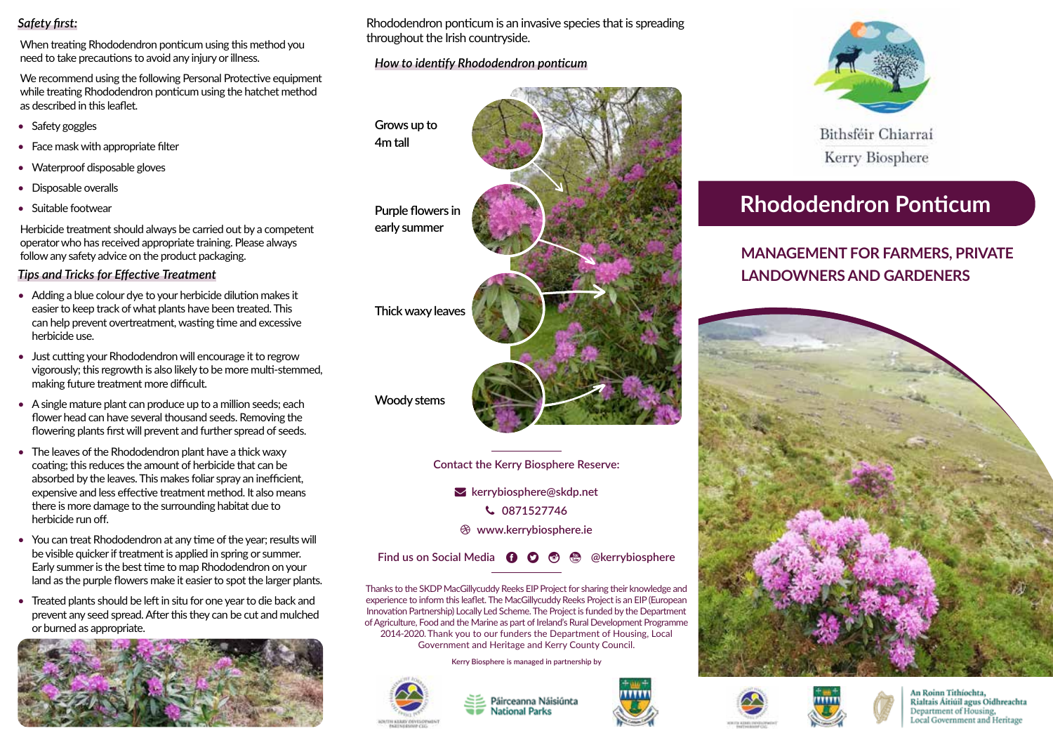# *Safety first:*

When treating Rhododendron ponticum using this method you need to take precautions to avoid any injury or illness.

We recommend using the following Personal Protective equipment while treating Rhododendron ponticum using the hatchet method as described in this leaflet.

- Safety goggles
- Face mask with appropriate filter
- Waterproof disposable gloves
- Disposable overalls
- Suitable footwear

Herbicide treatment should always be carried out by a competent operator who has received appropriate training. Please always follow any safety advice on the product packaging.

# *Tips and Tricks for Effective Treatment*

- Adding a blue colour dye to your herbicide dilution makes it easier to keep track of what plants have been treated. This can help prevent overtreatment, wasting time and excessive herbicide use.
- Just cutting your Rhododendron will encourage it to regrow vigorously; this regrowth is also likely to be more multi-stemmed, making future treatment more difficult.
- A single mature plant can produce up to a million seeds; each flower head can have several thousand seeds. Removing the flowering plants first will prevent and further spread of seeds.
- The leaves of the Rhododendron plant have a thick waxy coating; this reduces the amount of herbicide that can be absorbed by the leaves. This makes foliar spray an inefficient, expensive and less effective treatment method. It also means there is more damage to the surrounding habitat due to herbicide run off.
- You can treat Rhododendron at any time of the year; results will be visible quicker if treatment is applied in spring or summer. Early summer is the best time to map Rhododendron on your land as the purple flowers make it easier to spot the larger plants.
- Treated plants should be left in situ for one year to die back and prevent any seed spread. After this they can be cut and mulched or burned as appropriate.



Rhododendron ponticum is an invasive species that is spreading throughout the Irish countryside.

# *How to identify Rhododendron ponticum*

**Grows up to 4m tall**

> **Purple flowers in early summer**

**Thick waxy leaves**

**Woody stems**

**Contact the Kerry Biosphere Reserve:**

 **kerrybiosphere@skdp.net 0871527746 www.kerrybiosphere.ie**

**Find us on Social Media <b>Q Q @ @** @kerrybiosphere

Thanks to the SKDP MacGillycuddy Reeks EIP Project for sharing their knowledge and experience to inform this leaflet. The MacGillycuddy Reeks Project is an EIP (European Innovation Partnership) Locally Led Scheme. The Project is funded by the Department of Agriculture, Food and the Marine as part of Ireland's Rural Development Programme 2014-2020. Thank you to our funders the Department of Housing, Local Government and Heritage and Kerry County Council.

**Kerry Biosphere is managed in partnership by**



Páirceanna Náisiúnta **National Parks** 



Bithsféir Chiarraí Kerry Biosphere

# **Rhododendron Ponticum**

# **MANAGEMENT FOR FARMERS, PRIVATE LANDOWNERS AND GARDENERS**







An Roinn Tithíochta, Rialtais Áitiúil agus Oidhreachta Department of Housing, Local Government and Heritage